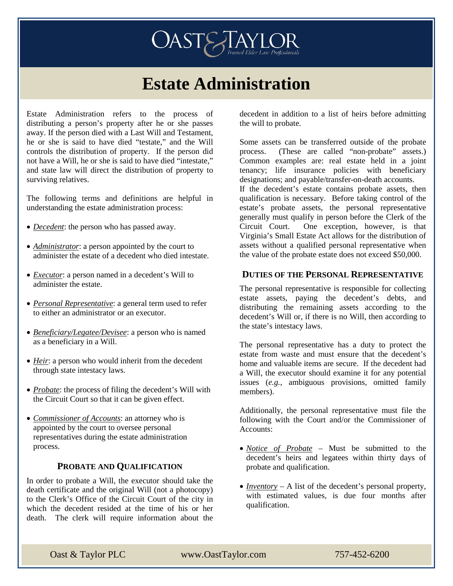# **OASTE ANLOR**

# **Estate Administration**

Estate Administration refers to the process of distributing a person's property after he or she passes away. If the person died with a Last Will and Testament, he or she is said to have died "testate," and the Will controls the distribution of property. If the person did not have a Will, he or she is said to have died "intestate," and state law will direct the distribution of property to surviving relatives.

The following terms and definitions are helpful in understanding the estate administration process:

- *Decedent*: the person who has passed away.
- *Administrator*: a person appointed by the court to administer the estate of a decedent who died intestate.
- *Executor*: a person named in a decedent's Will to administer the estate.
- *Personal Representative*: a general term used to refer to either an administrator or an executor.
- *Beneficiary/Legatee/Devisee*: a person who is named as a beneficiary in a Will.
- *Heir*: a person who would inherit from the decedent through state intestacy laws.
- *Probate*: the process of filing the decedent's Will with the Circuit Court so that it can be given effect.
- *Commissioner of Accounts*: an attorney who is appointed by the court to oversee personal representatives during the estate administration process.

#### **PROBATE AND QUALIFICATION**

In order to probate a Will, the executor should take the death certificate and the original Will (not a photocopy) to the Clerk's Office of the Circuit Court of the city in which the decedent resided at the time of his or her death. The clerk will require information about the

decedent in addition to a list of heirs before admitting the will to probate.

Some assets can be transferred outside of the probate process. (These are called "non-probate" assets.) Common examples are: real estate held in a joint tenancy; life insurance policies with beneficiary designations; and payable/transfer-on-death accounts. If the decedent's estate contains probate assets, then qualification is necessary. Before taking control of the estate's probate assets, the personal representative generally must qualify in person before the Clerk of the Circuit Court. One exception, however, is that Virginia's Small Estate Act allows for the distribution of assets without a qualified personal representative when the value of the probate estate does not exceed \$50,000.

#### **DUTIES OF THE PERSONAL REPRESENTATIVE**

The personal representative is responsible for collecting estate assets, paying the decedent's debts, and distributing the remaining assets according to the decedent's Will or, if there is no Will, then according to the state's intestacy laws.

The personal representative has a duty to protect the estate from waste and must ensure that the decedent's home and valuable items are secure. If the decedent had a Will, the executor should examine it for any potential issues (*e.g.*, ambiguous provisions, omitted family members).

Additionally, the personal representative must file the following with the Court and/or the Commissioner of Accounts:

- *Notice of Probate* Must be submitted to the decedent's heirs and legatees within thirty days of probate and qualification.
- *Inventory* A list of the decedent's personal property, with estimated values, is due four months after qualification.